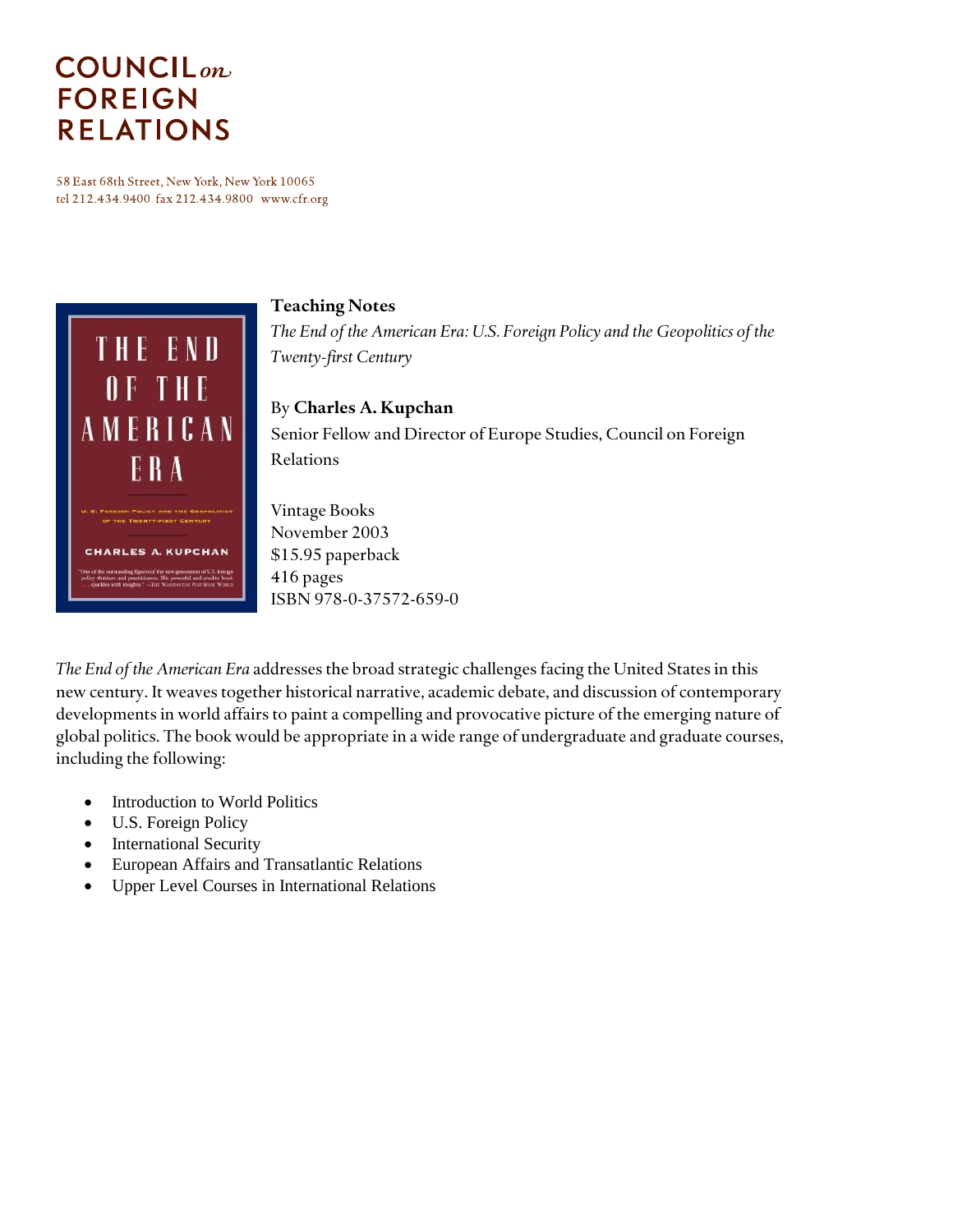# **COUNCIL**<sub>on</sub> **FOREIGN RELATIONS**

58 East 68th Street, New York, New York 10065 tel 212.434.9400 fax 212.434.9800 www.cfr.org



### **Teaching Notes**

*The End of the American Era: U.S. Foreign Policy and the Geopolitics of the Twenty-first Century*

### By **Charles A. Kupchan**

Senior Fellow and Director of Europe Studies, Council on Foreign Relations

Vintage Books November 2003 \$15.95 paperback 416 pages ISBN 978-0-37572-659-0

*The End of the American Era* addresses the broad strategic challenges facing the United States in this new century. It weaves together historical narrative, academic debate, and discussion of contemporary developments in world affairs to paint a compelling and provocative picture of the emerging nature of global politics. The book would be appropriate in a wide range of undergraduate and graduate courses, including the following:

- Introduction to World Politics
- U.S. Foreign Policy
- International Security
- European Affairs and Transatlantic Relations
- Upper Level Courses in International Relations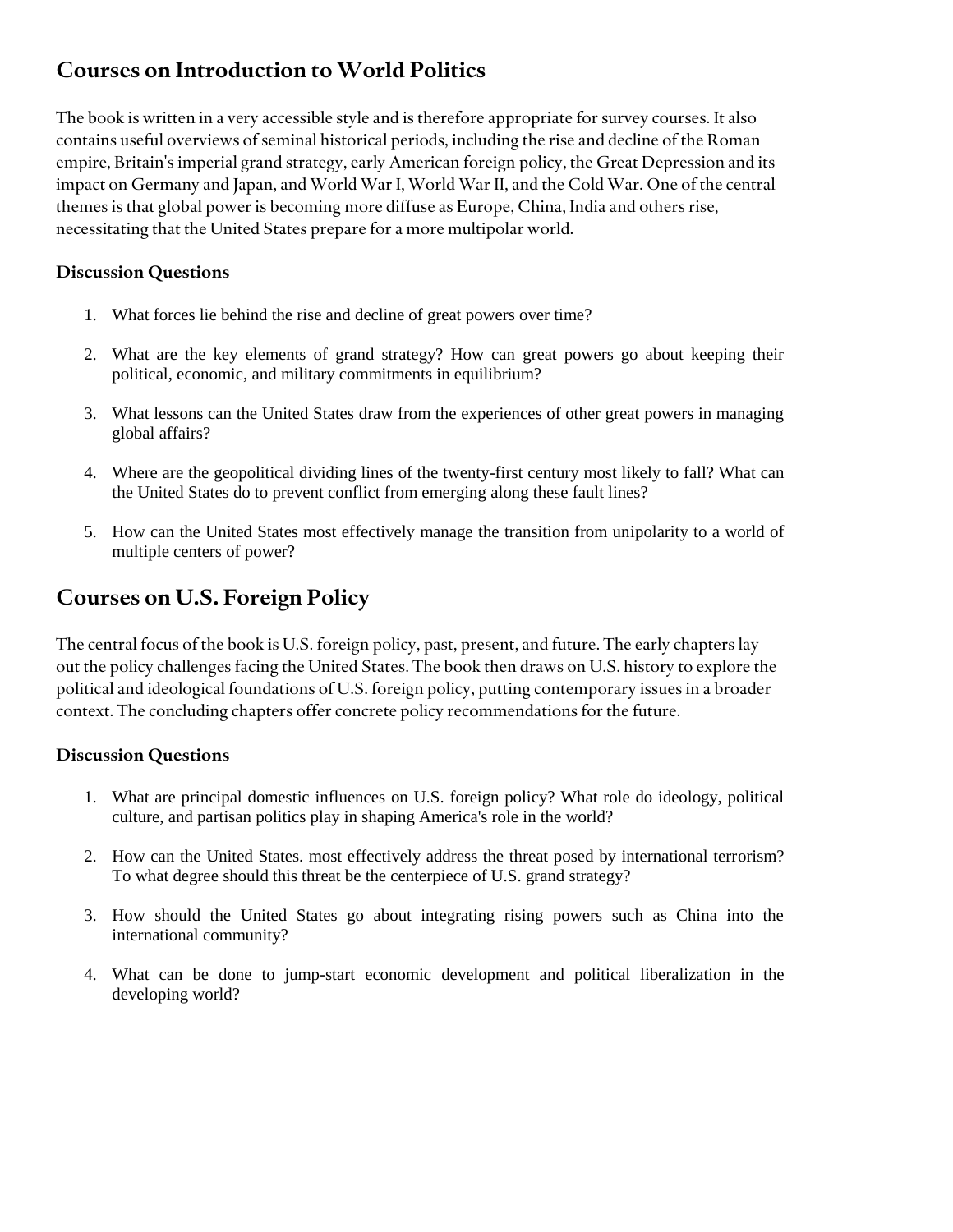## **Courses on Introduction to World Politics**

The book is written in a very accessible style and is therefore appropriate for survey courses. It also contains useful overviews of seminal historical periods, including the rise and decline of the Roman empire, Britain's imperial grand strategy, early American foreign policy, the Great Depression and its impact on Germany and Japan, and World War I, World War II, and the Cold War. One of the central themes is that global power is becoming more diffuse as Europe, China, India and others rise, necessitating that the United States prepare for a more multipolar world.

### **Discussion Questions**

- 1. What forces lie behind the rise and decline of great powers over time?
- 2. What are the key elements of grand strategy? How can great powers go about keeping their political, economic, and military commitments in equilibrium?
- 3. What lessons can the United States draw from the experiences of other great powers in managing global affairs?
- 4. Where are the geopolitical dividing lines of the twenty-first century most likely to fall? What can the United States do to prevent conflict from emerging along these fault lines?
- 5. How can the United States most effectively manage the transition from unipolarity to a world of multiple centers of power?

# **Courses on U.S. Foreign Policy**

The central focus of the book is U.S. foreign policy, past, present, and future. The early chapters lay out the policy challenges facing the United States. The book then draws on U.S. history to explore the political and ideological foundations of U.S. foreign policy, putting contemporary issues in a broader context. The concluding chapters offer concrete policy recommendations for the future.

### **Discussion Questions**

- 1. What are principal domestic influences on U.S. foreign policy? What role do ideology, political culture, and partisan politics play in shaping America's role in the world?
- 2. How can the United States. most effectively address the threat posed by international terrorism? To what degree should this threat be the centerpiece of U.S. grand strategy?
- 3. How should the United States go about integrating rising powers such as China into the international community?
- 4. What can be done to jump-start economic development and political liberalization in the developing world?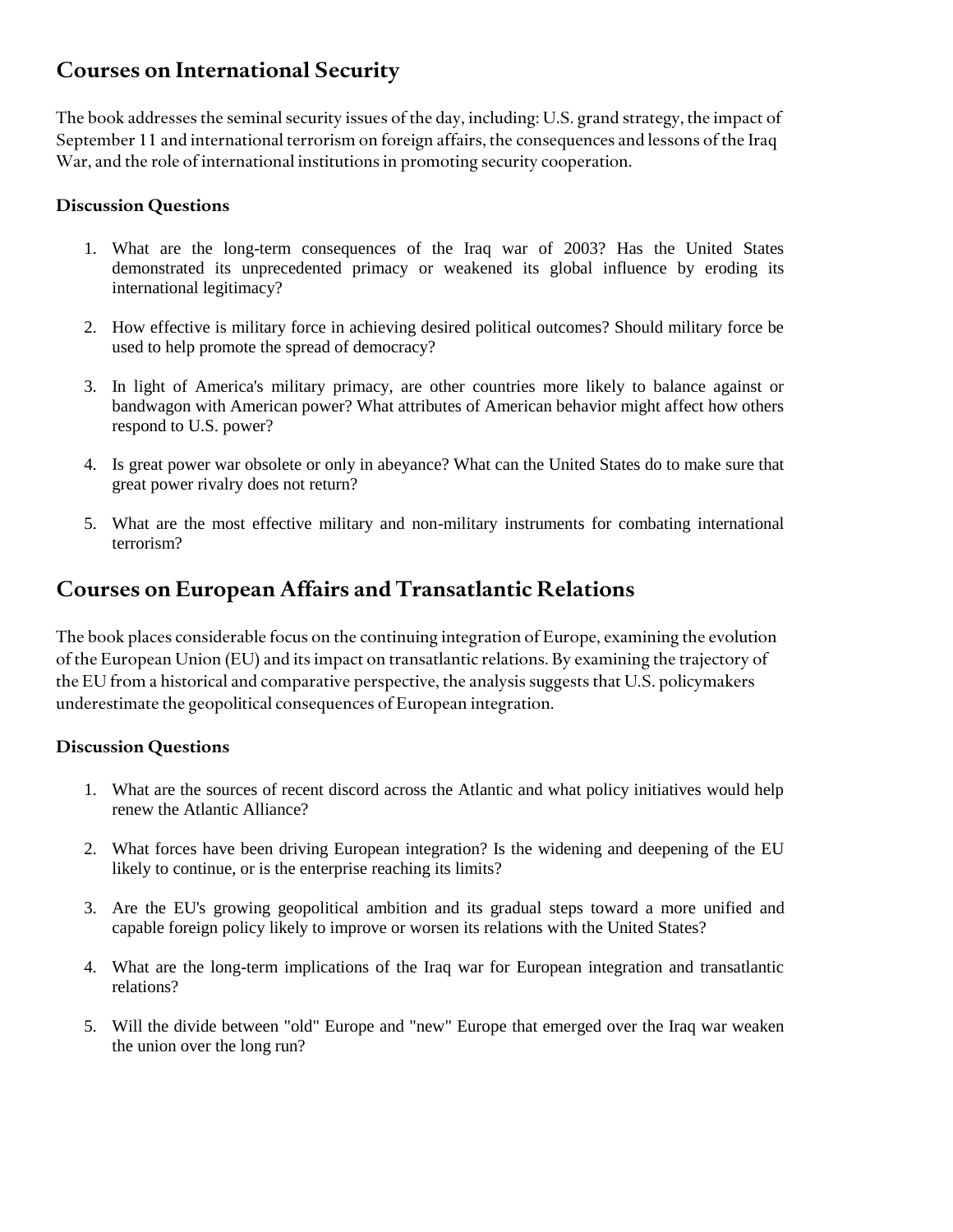### **Courses on International Security**

The book addresses the seminal security issues of the day, including: U.S. grand strategy, the impact of September 11 and international terrorism on foreign affairs, the consequences and lessons of the Iraq War, and the role of international institutions in promoting security cooperation.

#### **Discussion Questions**

- 1. What are the long-term consequences of the Iraq war of 2003? Has the United States demonstrated its unprecedented primacy or weakened its global influence by eroding its international legitimacy?
- 2. How effective is military force in achieving desired political outcomes? Should military force be used to help promote the spread of democracy?
- 3. In light of America's military primacy, are other countries more likely to balance against or bandwagon with American power? What attributes of American behavior might affect how others respond to U.S. power?
- 4. Is great power war obsolete or only in abeyance? What can the United States do to make sure that great power rivalry does not return?
- 5. What are the most effective military and non-military instruments for combating international terrorism?

### **Courses on European Affairs and Transatlantic Relations**

The book places considerable focus on the continuing integration of Europe, examining the evolution of the European Union (EU) and its impact on transatlantic relations. By examining the trajectory of the EU from a historical and comparative perspective, the analysis suggests that U.S. policymakers underestimate the geopolitical consequences of European integration.

#### **Discussion Questions**

- 1. What are the sources of recent discord across the Atlantic and what policy initiatives would help renew the Atlantic Alliance?
- 2. What forces have been driving European integration? Is the widening and deepening of the EU likely to continue, or is the enterprise reaching its limits?
- 3. Are the EU's growing geopolitical ambition and its gradual steps toward a more unified and capable foreign policy likely to improve or worsen its relations with the United States?
- 4. What are the long-term implications of the Iraq war for European integration and transatlantic relations?
- 5. Will the divide between "old" Europe and "new" Europe that emerged over the Iraq war weaken the union over the long run?